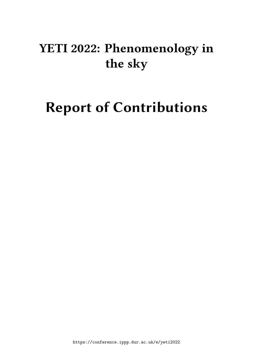# **YETI 2022: Phenomenology in the sky**

# **Report of Contributions**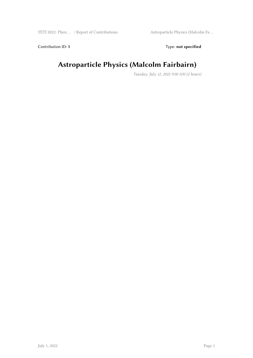Contribution ID: 1 Type: **not specified** 

# **Astroparticle Physics (Malcolm Fairbairn)**

*Tuesday, July 12, 2022 9:00 AM (2 hours)*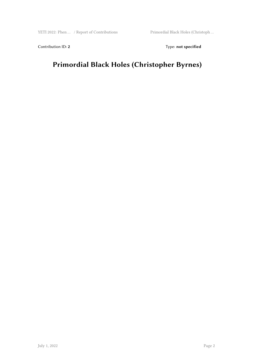Contribution ID: 2 Type: **not specified** 

# **Primordial Black Holes (Christopher Byrnes)**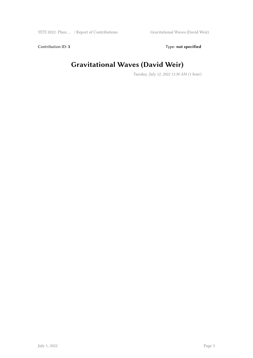Contribution ID: 3 Type: **not specified** 

## **Gravitational Waves (David Weir)**

*Tuesday, July 12, 2022 11:30 AM (1 hour)*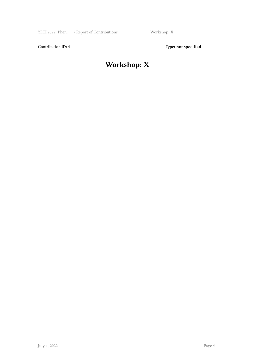Contribution ID: 4 Type: **not specified** 

# **Workshop: X**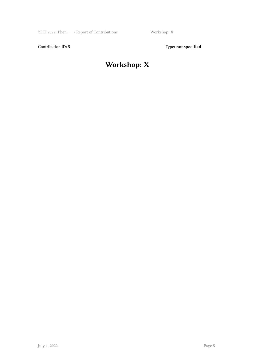Contribution ID: 5 Type: **not specified** 

# **Workshop: X**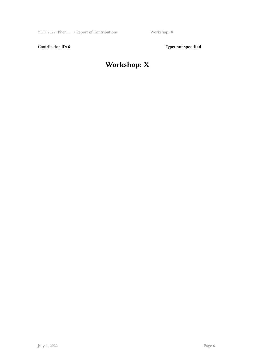Contribution ID: 6 Type: not specified

# **Workshop: X**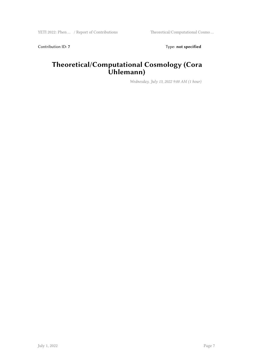Contribution ID: 7 Type: **not specified** 

#### **Theoretical/Computational Cosmology (Cora Uhlemann)**

*Wednesday, July 13, 2022 9:00 AM (1 hour)*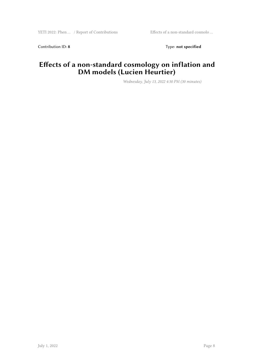Contribution ID: 8 Type: **not specified** 

#### **Effects of a non-standard cosmology on inflation and DM models (Lucien Heurtier)**

*Wednesday, July 13, 2022 4:30 PM (30 minutes)*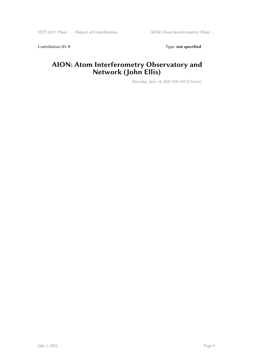Contribution ID: 9 Type: **not specified** 

#### **AION: Atom Interferometry Observatory and Network (John Ellis)**

*Thursday, July 14, 2022 9:00 AM (2 hours)*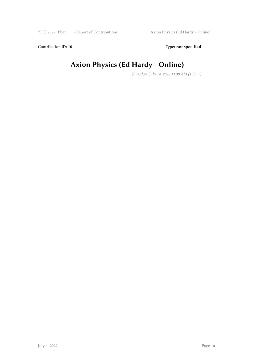Contribution ID: 10 **Type:** not specified

# **Axion Physics (Ed Hardy - Online)**

*Thursday, July 14, 2022 11:30 AM (1 hour)*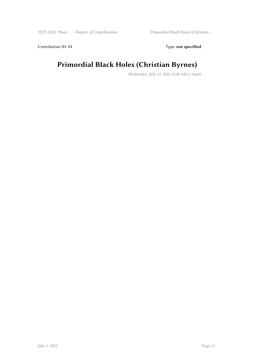Contribution ID: 11 Type: **not specified** 

## **Primordial Black Holes (Christian Byrnes)**

*Wednesday, July 13, 2022 10:00 AM (1 hour)*